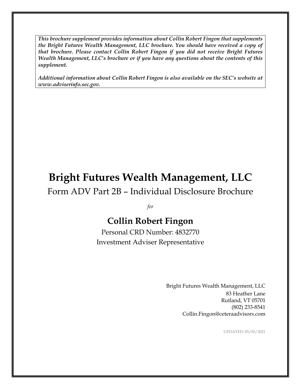*This brochure supplement provides information about Collin Robert Fingon that supplements the Bright Futures Wealth Management, LLC brochure. You should have received a copy of that brochure. Please contact Collin Robert Fingon if you did not receive Bright Futures Wealth Management, LLC's brochure or if you have any questions about the contents of this supplement.*

*Additional information about Collin Robert Fingon is also available on the SEC's website at www.adviserinfo.sec.gov.*

# **Bright Futures Wealth Management, LLC**

Form ADV Part 2B – Individual Disclosure Brochure

*for*

# **Collin Robert Fingon**

Personal CRD Number: 4832770 Investment Adviser Representative

> Bright Futures Wealth Management, LLC 83 Heather Lane Rutland, VT 05701 (802) 233-8541 Collin.Fingon@ceteraadvisors.com

> > UPDATED: 05/03/2021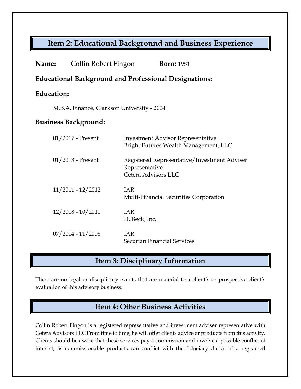### **Item 2: Educational Background and Business Experience**

| <b>Name:</b>                                                 | Collin Robert Fingon | <b>Born: 1981</b>                                                                     |
|--------------------------------------------------------------|----------------------|---------------------------------------------------------------------------------------|
| <b>Educational Background and Professional Designations:</b> |                      |                                                                                       |
| <b>Education:</b>                                            |                      |                                                                                       |
| M.B.A. Finance, Clarkson University - 2004                   |                      |                                                                                       |
| <b>Business Background:</b>                                  |                      |                                                                                       |
|                                                              | 01/2017 - Present    | <b>Investment Advisor Representative</b><br>Bright Futures Wealth Management, LLC     |
|                                                              | 01/2013 - Present    | Registered Representative/Investment Adviser<br>Representative<br>Cetera Advisors LLC |
|                                                              | 11/2011 - 12/2012    | <b>IAR</b><br>Multi-Financial Securities Corporation                                  |
|                                                              | $12/2008 - 10/2011$  | <b>IAR</b><br>H. Beck, Inc.                                                           |
|                                                              | $07/2004 - 11/2008$  | <b>IAR</b><br>Securian Financial Services                                             |

### **Item 3: Disciplinary Information**

There are no legal or disciplinary events that are material to a client's or prospective client's evaluation of this advisory business.

## **Item 4: Other Business Activities**

Collin Robert Fingon is a registered representative and investment adviser representative with Cetera Advisors LLC From time to time, he will offer clients advice or products from this activity. Clients should be aware that these services pay a commission and involve a possible conflict of interest, as commissionable products can conflict with the fiduciary duties of a registered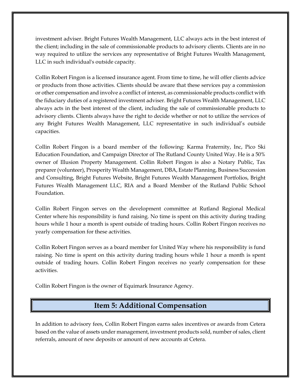investment adviser. Bright Futures Wealth Management, LLC always acts in the best interest of the client; including in the sale of commissionable products to advisory clients. Clients are in no way required to utilize the services any representative of Bright Futures Wealth Management, LLC in such individual's outside capacity.

Collin Robert Fingon is a licensed insurance agent. From time to time, he will offer clients advice or products from those activities. Clients should be aware that these services pay a commission or other compensation and involve a conflict of interest, as commissionable products conflict with the fiduciary duties of a registered investment adviser. Bright Futures Wealth Management, LLC always acts in the best interest of the client, including the sale of commissionable products to advisory clients. Clients always have the right to decide whether or not to utilize the services of any Bright Futures Wealth Management, LLC representative in such individual's outside capacities.

Collin Robert Fingon is a board member of the following: Karma Fraternity, Inc, Pico Ski Education Foundation, and Campaign Director of The Rutland County United Way. He is a 50% owner of Illusion Property Management. Collin Robert Fingon is also a Notary Public, Tax preparer (volunteer), Prosperity Wealth Management, DBA, Estate Planning, Business Succession and Consulting, Bright Futures Website, Bright Futures Wealth Management Portfolios, Bright Futures Wealth Management LLC, RIA and a Board Member of the Rutland Public School Foundation.

Collin Robert Fingon serves on the development committee at Rutland Regional Medical Center where his responsibility is fund raising. No time is spent on this activity during trading hours while 1 hour a month is spent outside of trading hours. Collin Robert Fingon receives no yearly compensation for these activities.

Collin Robert Fingon serves as a board member for United Way where his responsibility is fund raising. No time is spent on this activity during trading hours while 1 hour a month is spent outside of trading hours. Collin Robert Fingon receives no yearly compensation for these activities.

Collin Robert Fingon is the owner of Equimark Insurance Agency.

#### **Item 5: Additional Compensation**

In addition to advisory fees, Collin Robert Fingon earns sales incentives or awards from Cetera based on the value of assets under management, investment products sold, number of sales, client referrals, amount of new deposits or amount of new accounts at Cetera.